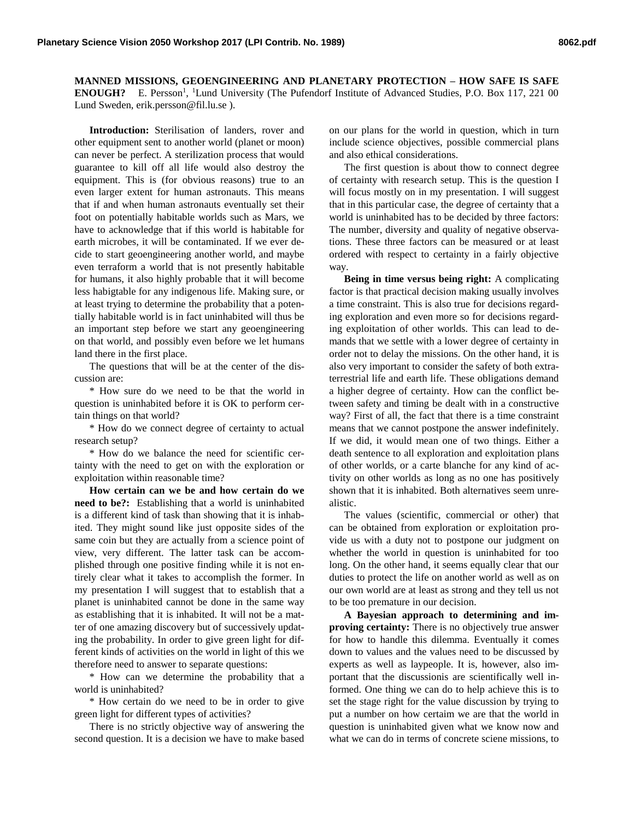**MANNED MISSIONS, GEOENGINEERING AND PLANETARY PROTECTION – HOW SAFE IS SAFE ENOUGH?** E. Persson<sup>1</sup>, <sup>1</sup>Lund University (The Pufendorf Institute of Advanced Studies, P.O. Box 117, 221 00 Lund Sweden, erik.persson@fil.lu.se ).

**Introduction:** Sterilisation of landers, rover and other equipment sent to another world (planet or moon) can never be perfect. A sterilization process that would guarantee to kill off all life would also destroy the equipment. This is (for obvious reasons) true to an even larger extent for human astronauts. This means that if and when human astronauts eventually set their foot on potentially habitable worlds such as Mars, we have to acknowledge that if this world is habitable for earth microbes, it will be contaminated. If we ever decide to start geoengineering another world, and maybe even terraform a world that is not presently habitable for humans, it also highly probable that it will become less habigtable for any indigenous life. Making sure, or at least trying to determine the probability that a potentially habitable world is in fact uninhabited will thus be an important step before we start any geoengineering on that world, and possibly even before we let humans land there in the first place.

The questions that will be at the center of the discussion are:

\* How sure do we need to be that the world in question is uninhabited before it is OK to perform certain things on that world?

\* How do we connect degree of certainty to actual research setup?

\* How do we balance the need for scientific certainty with the need to get on with the exploration or exploitation within reasonable time?

**How certain can we be and how certain do we need to be?:** Establishing that a world is uninhabited is a different kind of task than showing that it is inhabited. They might sound like just opposite sides of the same coin but they are actually from a science point of view, very different. The latter task can be accomplished through one positive finding while it is not entirely clear what it takes to accomplish the former. In my presentation I will suggest that to establish that a planet is uninhabited cannot be done in the same way as establishing that it is inhabited. It will not be a matter of one amazing discovery but of successively updating the probability. In order to give green light for different kinds of activities on the world in light of this we therefore need to answer to separate questions:

\* How can we determine the probability that a world is uninhabited?

\* How certain do we need to be in order to give green light for different types of activities?

There is no strictly objective way of answering the second question. It is a decision we have to make based on our plans for the world in question, which in turn include science objectives, possible commercial plans and also ethical considerations.

The first question is about thow to connect degree of certainty with research setup. This is the question I will focus mostly on in my presentation. I will suggest that in this particular case, the degree of certainty that a world is uninhabited has to be decided by three factors: The number, diversity and quality of negative observations. These three factors can be measured or at least ordered with respect to certainty in a fairly objective way.

**Being in time versus being right:** A complicating factor is that practical decision making usually involves a time constraint. This is also true for decisions regarding exploration and even more so for decisions regarding exploitation of other worlds. This can lead to demands that we settle with a lower degree of certainty in order not to delay the missions. On the other hand, it is also very important to consider the safety of both extraterrestrial life and earth life. These obligations demand a higher degree of certainty. How can the conflict between safety and timing be dealt with in a constructive way? First of all, the fact that there is a time constraint means that we cannot postpone the answer indefinitely. If we did, it would mean one of two things. Either a death sentence to all exploration and exploitation plans of other worlds, or a carte blanche for any kind of activity on other worlds as long as no one has positively shown that it is inhabited. Both alternatives seem unrealistic.

The values (scientific, commercial or other) that can be obtained from exploration or exploitation provide us with a duty not to postpone our judgment on whether the world in question is uninhabited for too long. On the other hand, it seems equally clear that our duties to protect the life on another world as well as on our own world are at least as strong and they tell us not to be too premature in our decision.

**A Bayesian approach to determining and improving certainty:** There is no objectively true answer for how to handle this dilemma. Eventually it comes down to values and the values need to be discussed by experts as well as laypeople. It is, however, also important that the discussionis are scientifically well informed. One thing we can do to help achieve this is to set the stage right for the value discussion by trying to put a number on how certaim we are that the world in question is uninhabited given what we know now and what we can do in terms of concrete sciene missions, to